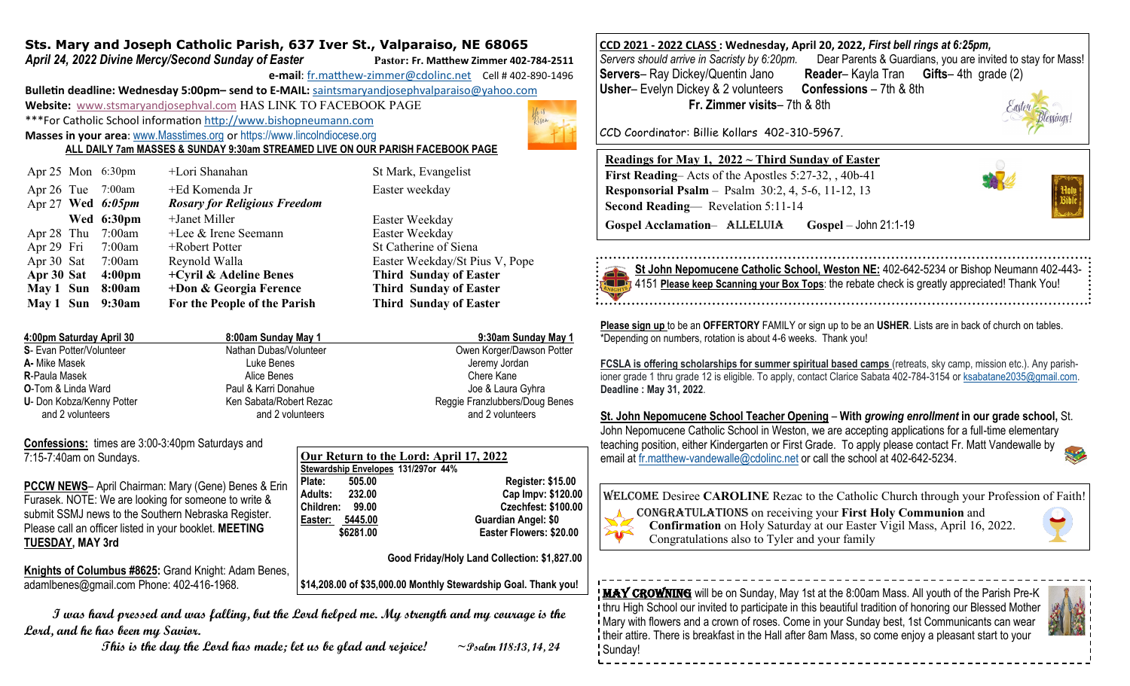## **Sts. Mary and Joseph Catholic Parish, 637 Iver St., Valparaiso, NE 68065**

*April 24, 2022 Divine Mercy/Second Sunday of Easter* **Pastor: Fr. Matthew Zimmer 402-784-2511**

**e-mail**: fr.matthew-[zimmer@cdolinc.net](mailto:fr.matthew-zimmer@cdolinc.net) Cell # 402-890-1496

**Bulletin deadline: Wednesday 5:00pm– send to E-MAIL:** [saintsmaryandjosephvalparaiso@yahoo.com](mailto:saintsmaryandjosephvalparaiso@yahoo.com) **Website:** [www.stsmaryandjosephval.com](http://www.stsmaryandjosephval.com/) HAS LINK TO FACEBOOK PAGE \*\*\*For Catholic School information [http://www.bishopneumann.com](http://www.bishopneuman.com)

**Masses in your area**: [www.Masstimes.org](file:///J:/Users/Sts.%20Mary%20and%20Josep/AppData/Local/Microsoft/Windows/Temporary%20Internet%20Files/Low/Content.IE5/12ZL2H74/www.Masstimes.org) or [https://www.lincolndiocese.org](https://www.lincolndiocese.org/easterrural)

**ALL DAILY 7am MASSES & SUNDAY 9:30am STREAMED LIVE ON OUR PARISH FACEBOOK PAGE**

|                          | +Lori Shanahan                                                                                                                                                        | St Mark, Evangelist            |
|--------------------------|-----------------------------------------------------------------------------------------------------------------------------------------------------------------------|--------------------------------|
|                          | +Ed Komenda Jr<br><b>Rosary for Religious Freedom</b>                                                                                                                 | Easter weekday                 |
|                          | +Janet Miller                                                                                                                                                         | Easter Weekday                 |
|                          | $+$ Lee & Irene Seemann                                                                                                                                               | Easter Weekday                 |
|                          | $+$ Robert Potter                                                                                                                                                     | St Catherine of Siena          |
|                          | Reynold Walla                                                                                                                                                         | Easter Weekday/St Pius V, Pope |
| 4:00 <sub>pm</sub>       | +Cyril & Adeline Benes<br><b>Third Sunday of Easter</b>                                                                                                               |                                |
|                          | +Don & Georgia Ference                                                                                                                                                | <b>Third Sunday of Easter</b>  |
| 9:30am                   | For the People of the Parish                                                                                                                                          | <b>Third Sunday of Easter</b>  |
| Apr 28 Thu<br>Apr 30 Sat | Apr $25$ Mon $6:30$ pm<br>Apr 26 Tue 7:00am<br>Apr 27 Wed $6:05pm$<br>Wed 6:30pm<br>7:00am<br>Apr 29 Fri 7:00am<br>Apr 30 Sat 7:00am<br>May 1 Sun 8:00am<br>May 1 Sun |                                |

| 4:00pm Saturday April 30      | 8:00am Sunday May 1     | 9:30am Sunday May 1            |
|-------------------------------|-------------------------|--------------------------------|
| S- Evan Potter/Volunteer      | Nathan Dubas/Volunteer  | Owen Korger/Dawson Potter      |
| A- Mike Masek                 | Luke Benes              | Jeremy Jordan                  |
| <b>R-Paula Masek</b>          | Alice Benes             | Chere Kane                     |
| <b>O-Tom &amp; Linda Ward</b> | Paul & Karri Donahue    | Joe & Laura Gyhra              |
| U- Don Kobza/Kenny Potter     | Ken Sabata/Robert Rezac | Reggie Franzlubbers/Doug Benes |
| and 2 volunteers              | and 2 volunteers        | and 2 volunteers               |

**Confessions:** times are 3:00-3:40pm Saturdays and 7:15-7:40am on Sundays.

**PCCW NEWS**– April Chairman: Mary (Gene) Benes & Erin Furasek. NOTE: We are looking for someone to write & submit SSMJ news to the Southern Nebraska Register. Please call an officer listed in your booklet. **MEETING TUESDAY, MAY 3rd**

**Knights of Columbus #8625:** Grand Knight: Adam Benes, adamlbenes@gmail.com Phone: 402-416-1968.

| Our Return to the Lord: April 17, 2022 |                       |                                     |  |  |
|----------------------------------------|-----------------------|-------------------------------------|--|--|
|                                        |                       | Stewardship Envelopes 131/297or 44% |  |  |
| Plate:                                 | 505.00                | <b>Register: \$15.00</b>            |  |  |
|                                        | <b>Adults: 232.00</b> | Cap Impv: \$120.00                  |  |  |
| Children:                              | 99.00                 | <b>Czechfest: \$100.00</b>          |  |  |
| Easter:                                | 5445.00               | Guardian Angel: \$0                 |  |  |
|                                        | \$6281.00             | Easter Flowers: \$20.00             |  |  |

 **Good Friday/Holy Land Collection: \$1,827.00** 

**\$14,208.00 of \$35,000.00 Monthly Stewardship Goal. Thank you!**

 **I was hard pressed and was falling, but the Lord helped me. My strength and my courage is the Lord, and he has been my Savior.**

 **This is the day the Lord has made; let us be glad and rejoice! ~Psalm 118:13, 14, 24**

**CCD 2021 - 2022 CLASS : Wednesday, April 20, 2022,** *First bell rings at 6:25pm, Servers should arrive in Sacristy by 6:20pm.* Dear Parents & Guardians, you are invited to stay for Mass! **Reader– Kayla Tran Gifts– 4th grade (2) Usher**– Evelyn Dickey & 2 volunteers **Confessions** – 7th & 8th **Fr. Zimmer visits**– 7th & 8th

CCD Coordinator: Billie Kollars 402-310-5967.

## **Readings for May 1, 2022 ~ Third Sunday of Easter**

**First Reading**– Acts of the Apostles 5:27-32, , 40b-41 **Responsorial Psalm** – Psalm 30:2, 4, 5-6, 11-12, 13 **Second Reading**— Revelation 5:11-14 **Gospel Acclamation**– Alleluia **Gospel** – John 21:1-19



**St John Nepomucene Catholic School, Weston NE:** 402-642-5234 or Bishop Neumann 402-443- 4151 **Please keep Scanning your Box Tops**: the rebate check is greatly appreciated! Thank You!

**Please sign up** to be an **OFFERTORY** FAMILY or sign up to be an **USHER**. Lists are in back of church on tables. \*Depending on numbers, rotation is about 4-6 weeks. Thank you!

**FCSLA is offering scholarships for summer spiritual based camps** (retreats, sky camp, mission etc.). Any parishioner grade 1 thru grade 12 is eligible. To apply, contact Clarice Sabata 402-784-3154 or [ksabatane2035@gmail.com.](mailto:ksabatane2035@gmail.com) **Deadline : May 31, 2022**.

**St. John Nepomucene School Teacher Opening** – **With** *growing enrollment* **in our grade school,** St. John Nepomucene Catholic School in Weston, we are accepting applications for a full-time elementary teaching position, either Kindergarten or First Grade. To apply please contact Fr. Matt Vandewalle by email at [fr.matthew-vandewalle@cdolinc.net](mailto:fr.matthew-vandewalle@cdolinc.net) or call the school at 402-642-5234.

Welcome Desiree **CAROLINE** Rezac to the Catholic Church through your Profession of Faith!



Congratulations on receiving your **First Holy Communion** and **Confirmation** on Holy Saturday at our Easter Vigil Mass, April 16, 2022. Congratulations also to Tyler and your family

**MAY CROWNING** will be on Sunday, May 1st at the 8:00am Mass. All youth of the Parish Pre-K thru High School our invited to participate in this beautiful tradition of honoring our Blessed Mother Mary with flowers and a crown of roses. Come in your Sunday best, 1st Communicants can wear their attire. There is breakfast in the Hall after 8am Mass, so come enjoy a pleasant start to your Sunday!